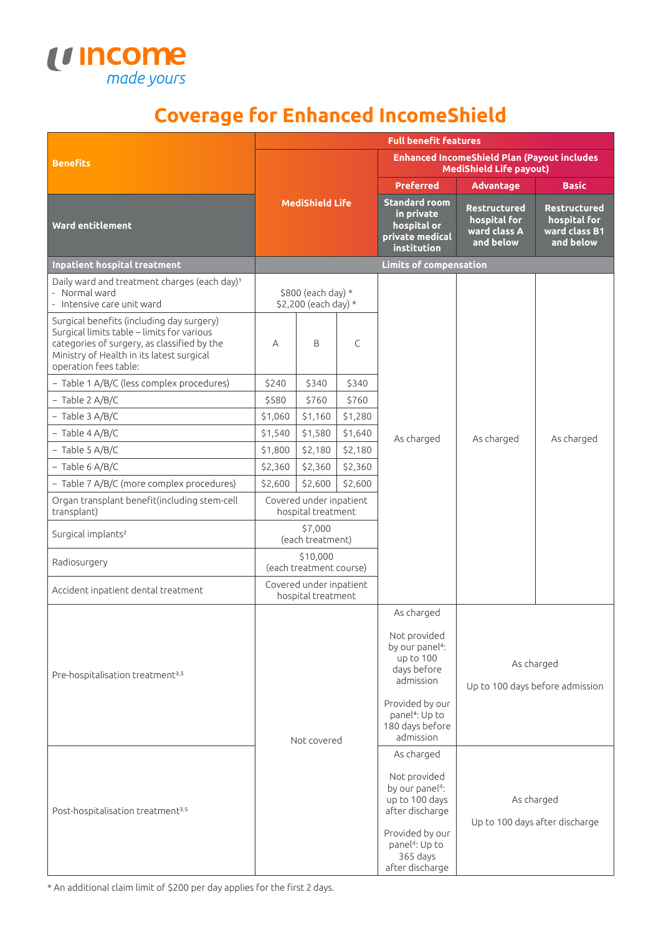

## **Coverage for Enhanced IncomeShield**

|                                                                                                                                                                                                              | <b>Full benefit features</b>                  |         |                                                                                      |                                                                  |                                                                   |                                                                               |
|--------------------------------------------------------------------------------------------------------------------------------------------------------------------------------------------------------------|-----------------------------------------------|---------|--------------------------------------------------------------------------------------|------------------------------------------------------------------|-------------------------------------------------------------------|-------------------------------------------------------------------------------|
| <b>Benefits</b>                                                                                                                                                                                              | <b>MediShield Life</b>                        |         | <b>Enhanced IncomeShield Plan (Payout includes</b><br><b>MediShield Life payout)</b> |                                                                  |                                                                   |                                                                               |
|                                                                                                                                                                                                              |                                               |         | <b>Preferred</b>                                                                     | <b>Advantage</b>                                                 | <b>Basic</b>                                                      |                                                                               |
| <b>Ward entitlement</b>                                                                                                                                                                                      |                                               |         | <b>Standard room</b><br>in private<br>hospital or<br>private medical<br>institution  | <b>Restructured</b><br>hospital for<br>ward class A<br>and below | <b>Restructured</b><br>hospital for<br>ward class B1<br>and below |                                                                               |
| Inpatient hospital treatment                                                                                                                                                                                 |                                               |         |                                                                                      | <b>Limits of compensation</b>                                    |                                                                   |                                                                               |
| Daily ward and treatment charges (each day) <sup>1</sup><br>- Normal ward<br>- Intensive care unit ward                                                                                                      | \$800 (each day) *<br>\$2,200 (each day) *    |         |                                                                                      |                                                                  |                                                                   |                                                                               |
| Surgical benefits (including day surgery)<br>Surgical limits table - limits for various<br>categories of surgery, as classified by the<br>Ministry of Health in its latest surgical<br>operation fees table: | A                                             | B       | C                                                                                    |                                                                  |                                                                   | As charged                                                                    |
| - Table 1 A/B/C (less complex procedures)                                                                                                                                                                    | \$240                                         | \$340   | \$340                                                                                |                                                                  |                                                                   |                                                                               |
| $-$ Table 2 A/B/C                                                                                                                                                                                            | \$580                                         | \$760   | \$760                                                                                |                                                                  |                                                                   |                                                                               |
| $-$ Table 3 A/B/C                                                                                                                                                                                            | \$1,060                                       | \$1,160 | \$1,280                                                                              |                                                                  |                                                                   |                                                                               |
| $-$ Table 4 A/B/C                                                                                                                                                                                            | \$1,540                                       | \$1,580 | \$1,640                                                                              | As charged                                                       | As charged                                                        |                                                                               |
| $-$ Table 5 A/B/C                                                                                                                                                                                            | \$1,800                                       | \$2,180 | \$2,180                                                                              |                                                                  |                                                                   |                                                                               |
| $-$ Table 6 A/B/C                                                                                                                                                                                            | \$2,360                                       | \$2,360 | \$2,360                                                                              |                                                                  |                                                                   |                                                                               |
| - Table 7 A/B/C (more complex procedures)                                                                                                                                                                    | \$2,600                                       | \$2,600 | \$2,600                                                                              |                                                                  |                                                                   |                                                                               |
| Organ transplant benefit(including stem-cell<br>transplant)                                                                                                                                                  | Covered under inpatient<br>hospital treatment |         |                                                                                      |                                                                  |                                                                   |                                                                               |
| Surgical implants <sup>2</sup>                                                                                                                                                                               | \$7,000<br>(each treatment)                   |         |                                                                                      |                                                                  |                                                                   |                                                                               |
| Radiosurgery                                                                                                                                                                                                 | \$10,000<br>(each treatment course)           |         |                                                                                      |                                                                  |                                                                   |                                                                               |
| Accident inpatient dental treatment                                                                                                                                                                          | Covered under inpatient<br>hospital treatment |         |                                                                                      |                                                                  |                                                                   |                                                                               |
|                                                                                                                                                                                                              |                                               |         |                                                                                      | As charged                                                       |                                                                   |                                                                               |
| Pre-hospitalisation treatment <sup>3,5</sup>                                                                                                                                                                 |                                               |         | Not provided<br>by our panel <sup>4</sup> :<br>up to 100<br>days before<br>admission | As charged<br>Up to 100 days before admission                    |                                                                   |                                                                               |
|                                                                                                                                                                                                              | Not covered                                   |         |                                                                                      |                                                                  |                                                                   | Provided by our<br>panel <sup>4</sup> : Up to<br>180 days before<br>admission |
|                                                                                                                                                                                                              |                                               |         | As charged                                                                           | As charged<br>Up to 100 days after discharge                     |                                                                   |                                                                               |
| Post-hospitalisation treatment <sup>3,5</sup>                                                                                                                                                                |                                               |         | Not provided<br>by our panel <sup>4</sup> :<br>up to 100 days<br>after discharge     |                                                                  |                                                                   |                                                                               |
|                                                                                                                                                                                                              |                                               |         | Provided by our<br>panel <sup>4</sup> : Up to<br>365 days<br>after discharge         |                                                                  |                                                                   |                                                                               |

\* An additional claim limit of \$200 per day applies for the first 2 days.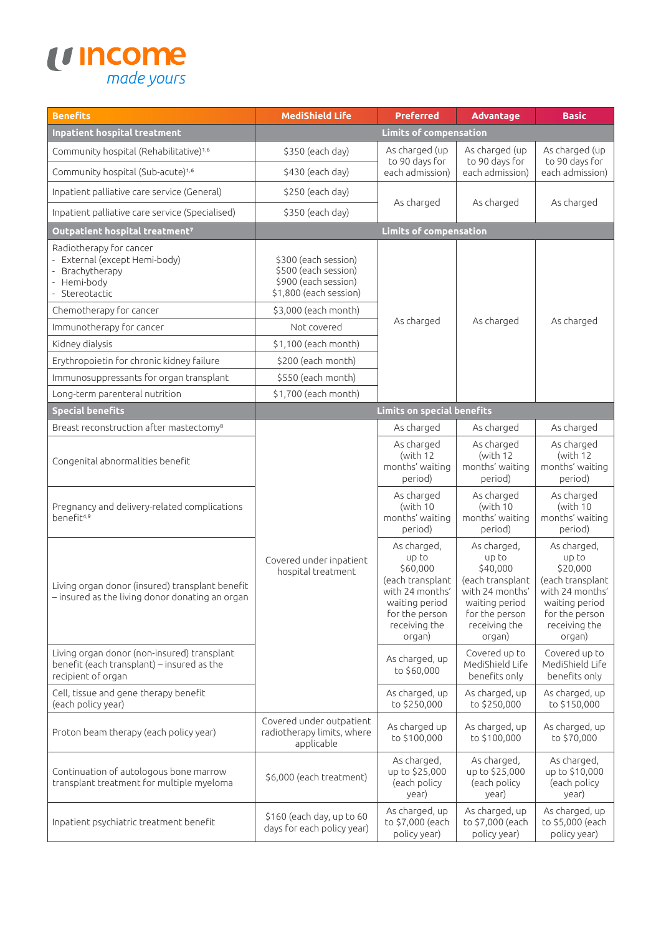

| <b>Benefits</b>                                                                                                 | <b>MediShield Life</b>                                                                         | <b>Preferred</b>                                                                                                                       | <b>Advantage</b>                                                                                                                       | <b>Basic</b>                                                                                                                           |  |
|-----------------------------------------------------------------------------------------------------------------|------------------------------------------------------------------------------------------------|----------------------------------------------------------------------------------------------------------------------------------------|----------------------------------------------------------------------------------------------------------------------------------------|----------------------------------------------------------------------------------------------------------------------------------------|--|
| <b>Inpatient hospital treatment</b>                                                                             | <b>Limits of compensation</b>                                                                  |                                                                                                                                        |                                                                                                                                        |                                                                                                                                        |  |
| Community hospital (Rehabilitative) <sup>1,6</sup>                                                              | As charged (up<br>\$350 (each day)                                                             |                                                                                                                                        | As charged (up                                                                                                                         | As charged (up                                                                                                                         |  |
| Community hospital (Sub-acute) <sup>1,6</sup>                                                                   | \$430 (each day)                                                                               | to 90 days for<br>each admission)                                                                                                      | to 90 days for<br>each admission)                                                                                                      | to 90 days for<br>each admission)                                                                                                      |  |
| Inpatient palliative care service (General)                                                                     | \$250 (each day)                                                                               |                                                                                                                                        | As charged                                                                                                                             | As charged                                                                                                                             |  |
| Inpatient palliative care service (Specialised)                                                                 | \$350 (each day)                                                                               | As charged                                                                                                                             |                                                                                                                                        |                                                                                                                                        |  |
| Outpatient hospital treatment <sup>7</sup>                                                                      |                                                                                                | <b>Limits of compensation</b>                                                                                                          |                                                                                                                                        |                                                                                                                                        |  |
| Radiotherapy for cancer<br>External (except Hemi-body)<br>Brachytherapy<br>Hemi-body<br>Stereotactic            | \$300 (each session)<br>\$500 (each session)<br>\$900 (each session)<br>\$1,800 (each session) |                                                                                                                                        |                                                                                                                                        |                                                                                                                                        |  |
| Chemotherapy for cancer                                                                                         | \$3,000 (each month)                                                                           |                                                                                                                                        |                                                                                                                                        |                                                                                                                                        |  |
| Immunotherapy for cancer                                                                                        | Not covered                                                                                    | As charged                                                                                                                             | As charged                                                                                                                             | As charged                                                                                                                             |  |
| Kidney dialysis                                                                                                 | \$1,100 (each month)                                                                           |                                                                                                                                        |                                                                                                                                        |                                                                                                                                        |  |
| Erythropoietin for chronic kidney failure                                                                       | \$200 (each month)                                                                             |                                                                                                                                        |                                                                                                                                        |                                                                                                                                        |  |
| Immunosuppressants for organ transplant                                                                         | \$550 (each month)                                                                             |                                                                                                                                        |                                                                                                                                        |                                                                                                                                        |  |
| Long-term parenteral nutrition                                                                                  | \$1,700 (each month)                                                                           |                                                                                                                                        |                                                                                                                                        |                                                                                                                                        |  |
| <b>Special benefits</b>                                                                                         |                                                                                                | <b>Limits on special benefits</b>                                                                                                      |                                                                                                                                        |                                                                                                                                        |  |
| Breast reconstruction after mastectomy <sup>8</sup>                                                             |                                                                                                | As charged                                                                                                                             | As charged                                                                                                                             | As charged                                                                                                                             |  |
| Congenital abnormalities benefit                                                                                |                                                                                                | As charged<br>(with 12<br>months' waiting<br>period)                                                                                   | As charged<br>(with 12<br>months' waiting<br>period)                                                                                   | As charged<br>(with 12<br>months' waiting<br>period)                                                                                   |  |
| Pregnancy and delivery-related complications<br>benefit4,9                                                      |                                                                                                | As charged<br>(with 10<br>months' waiting<br>period)                                                                                   | As charged<br>(with 10<br>months' waiting<br>period)                                                                                   | As charged<br>(with 10<br>months' waiting<br>period)                                                                                   |  |
| Living organ donor (insured) transplant benefit<br>- insured as the living donor donating an organ              | Covered under inpatient<br>hospital treatment                                                  | As charged,<br>up to<br>\$60,000<br>(each transplant<br>with 24 months'<br>waiting period<br>for the person<br>receiving the<br>organ) | As charged,<br>up to<br>\$40,000<br>(each transplant<br>with 24 months'<br>waiting period<br>for the person<br>receiving the<br>organ) | As charged,<br>up to<br>\$20,000<br>(each transplant<br>with 24 months'<br>waiting period<br>for the person<br>receiving the<br>organ) |  |
| Living organ donor (non-insured) transplant<br>benefit (each transplant) - insured as the<br>recipient of organ |                                                                                                | As charged, up<br>to \$60,000                                                                                                          | Covered up to<br>MediShield Life<br>benefits only                                                                                      | Covered up to<br>MediShield Life<br>benefits only                                                                                      |  |
| Cell, tissue and gene therapy benefit<br>(each policy year)                                                     |                                                                                                | As charged, up<br>to \$250,000                                                                                                         | As charged, up<br>to \$250,000                                                                                                         | As charged, up<br>to \$150,000                                                                                                         |  |
| Proton beam therapy (each policy year)                                                                          | Covered under outpatient<br>radiotherapy limits, where<br>applicable                           | As charged up<br>to \$100,000                                                                                                          | As charged, up<br>to \$100,000                                                                                                         | As charged, up<br>to \$70,000                                                                                                          |  |
| Continuation of autologous bone marrow<br>transplant treatment for multiple myeloma                             | \$6,000 (each treatment)                                                                       | As charged,<br>up to \$25,000<br>(each policy<br>year)                                                                                 | As charged,<br>up to \$25,000<br>(each policy<br>year)                                                                                 | As charged,<br>up to \$10,000<br>(each policy<br>year)                                                                                 |  |
| Inpatient psychiatric treatment benefit                                                                         | \$160 (each day, up to 60<br>days for each policy year)                                        | As charged, up<br>to \$7,000 (each<br>policy year)                                                                                     | As charged, up<br>to \$7,000 (each<br>policy year)                                                                                     | As charged, up<br>to \$5,000 (each<br>policy year)                                                                                     |  |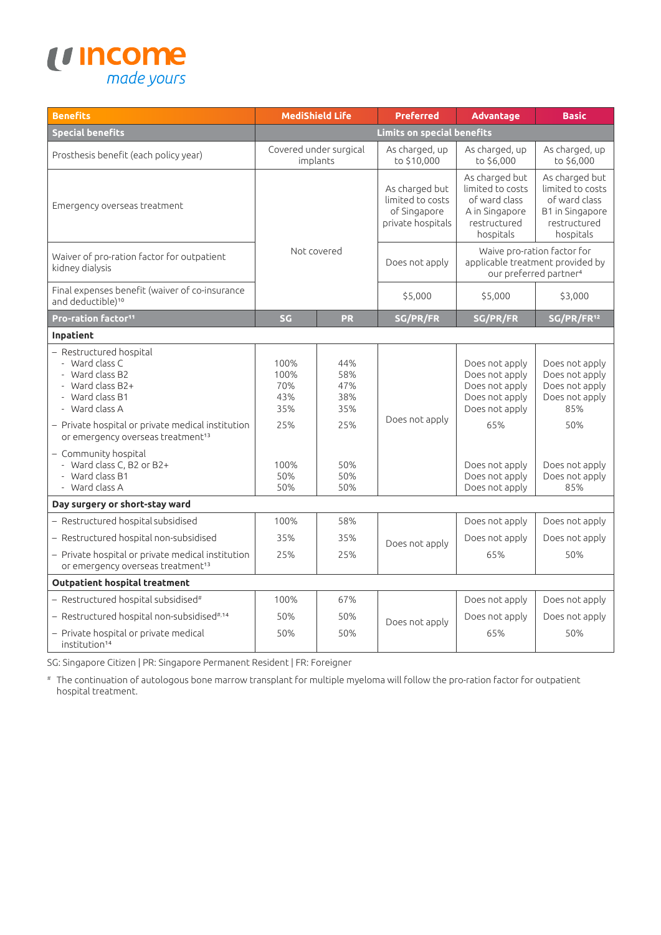

| <b>Benefits</b>                                                                                                                                                                                                                                                                                                 | <b>MediShield Life</b>                                         |                                                             | <b>Preferred</b>                                                        | <b>Advantage</b>                                                                                                                                    | <b>Basic</b>                                                                                                                  |  |
|-----------------------------------------------------------------------------------------------------------------------------------------------------------------------------------------------------------------------------------------------------------------------------------------------------------------|----------------------------------------------------------------|-------------------------------------------------------------|-------------------------------------------------------------------------|-----------------------------------------------------------------------------------------------------------------------------------------------------|-------------------------------------------------------------------------------------------------------------------------------|--|
| <b>Special benefits</b>                                                                                                                                                                                                                                                                                         | Limits on special benefits                                     |                                                             |                                                                         |                                                                                                                                                     |                                                                                                                               |  |
| Prosthesis benefit (each policy year)                                                                                                                                                                                                                                                                           | Covered under surgical<br>implants                             |                                                             | As charged, up<br>to \$10,000                                           | As charged, up<br>to \$6,000                                                                                                                        | As charged, up<br>to \$6,000                                                                                                  |  |
| Emergency overseas treatment                                                                                                                                                                                                                                                                                    | Not covered                                                    |                                                             | As charged but<br>limited to costs<br>of Singapore<br>private hospitals | As charged but<br>limited to costs<br>of ward class<br>A in Singapore<br>restructured<br>hospitals                                                  | As charged but<br>limited to costs<br>of ward class<br>B1 in Singapore<br>restructured<br>hospitals                           |  |
| Waiver of pro-ration factor for outpatient<br>kidney dialysis                                                                                                                                                                                                                                                   |                                                                |                                                             | Does not apply                                                          | Waive pro-ration factor for<br>applicable treatment provided by<br>our preferred partner <sup>4</sup>                                               |                                                                                                                               |  |
| Final expenses benefit (waiver of co-insurance<br>and deductible) <sup>10</sup>                                                                                                                                                                                                                                 |                                                                |                                                             | \$5,000                                                                 | \$5,000                                                                                                                                             | \$3,000                                                                                                                       |  |
| Pro-ration factor <sup>11</sup>                                                                                                                                                                                                                                                                                 | SG                                                             | <b>PR</b>                                                   | SG/PR/FR                                                                | SG/PR/FR                                                                                                                                            | SG/PR/FR <sup>12</sup>                                                                                                        |  |
| Inpatient                                                                                                                                                                                                                                                                                                       |                                                                |                                                             |                                                                         |                                                                                                                                                     |                                                                                                                               |  |
| Restructured hospital<br>- Ward class C<br>Ward class B2<br>- Ward class B2+<br>- Ward class B1<br>- Ward class A<br>- Private hospital or private medical institution<br>or emergency overseas treatment <sup>13</sup><br>- Community hospital<br>- Ward class C, B2 or B2+<br>Ward class B1<br>- Ward class A | 100%<br>100%<br>70%<br>43%<br>35%<br>25%<br>100%<br>50%<br>50% | 44%<br>58%<br>47%<br>38%<br>35%<br>25%<br>50%<br>50%<br>50% | Does not apply                                                          | Does not apply<br>Does not apply<br>Does not apply<br>Does not apply<br>Does not apply<br>65%<br>Does not apply<br>Does not apply<br>Does not apply | Does not apply<br>Does not apply<br>Does not apply<br>Does not apply<br>85%<br>50%<br>Does not apply<br>Does not apply<br>85% |  |
| Day surgery or short-stay ward                                                                                                                                                                                                                                                                                  |                                                                |                                                             |                                                                         |                                                                                                                                                     |                                                                                                                               |  |
| - Restructured hospital subsidised<br>- Restructured hospital non-subsidised<br>- Private hospital or private medical institution<br>or emergency overseas treatment <sup>13</sup>                                                                                                                              | 100%<br>35%<br>25%                                             | 58%<br>35%<br>25%                                           | Does not apply                                                          | Does not apply<br>Does not apply<br>65%                                                                                                             | Does not apply<br>Does not apply<br>50%                                                                                       |  |
| <b>Outpatient hospital treatment</b>                                                                                                                                                                                                                                                                            |                                                                |                                                             |                                                                         |                                                                                                                                                     |                                                                                                                               |  |
| $-$ Restructured hospital subsidised#                                                                                                                                                                                                                                                                           | 100%                                                           | 67%                                                         |                                                                         | Does not apply                                                                                                                                      | Does not apply                                                                                                                |  |
| - Restructured hospital non-subsidised#,14                                                                                                                                                                                                                                                                      | 50%                                                            | 50%                                                         | Does not apply                                                          | Does not apply                                                                                                                                      | Does not apply                                                                                                                |  |
| - Private hospital or private medical<br>institution <sup>14</sup>                                                                                                                                                                                                                                              | 50%                                                            | 50%                                                         |                                                                         | 65%                                                                                                                                                 | 50%                                                                                                                           |  |

SG: Singapore Citizen | PR: Singapore Permanent Resident | FR: Foreigner

# The continuation of autologous bone marrow transplant for multiple myeloma will follow the pro-ration factor for outpatient hospital treatment.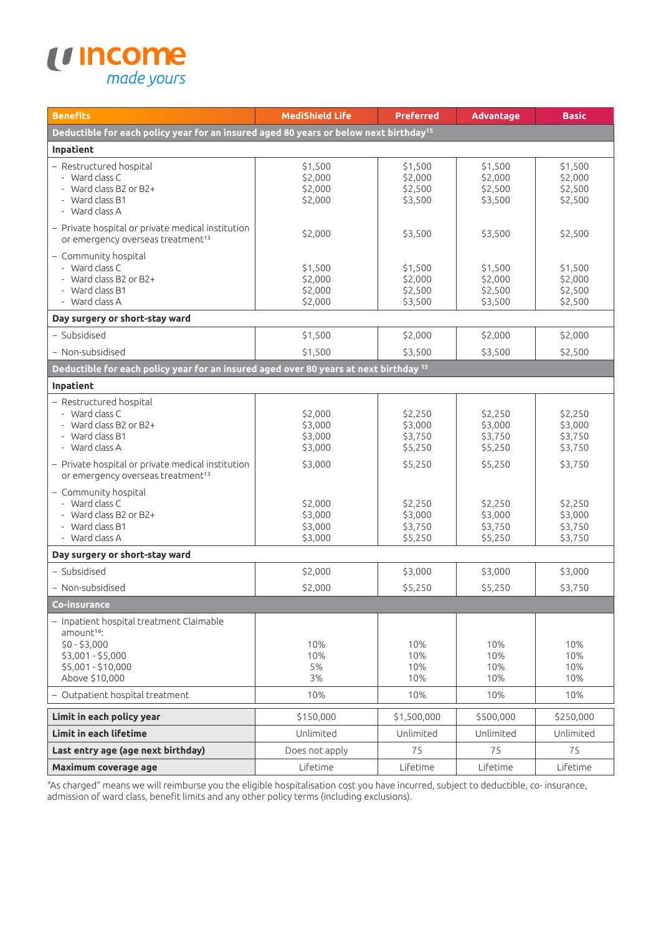

| <b>Benefits</b>                                                                                                                                               | <b>MediShield Life</b>                              | <b>Preferred</b>                                    | <b>Advantage</b>                                    | <b>Basic</b>                                        |
|---------------------------------------------------------------------------------------------------------------------------------------------------------------|-----------------------------------------------------|-----------------------------------------------------|-----------------------------------------------------|-----------------------------------------------------|
| Deductible for each policy year for an insured aged 80 years or below next birthday <sup>15</sup>                                                             |                                                     |                                                     |                                                     |                                                     |
| Inpatient                                                                                                                                                     |                                                     |                                                     |                                                     |                                                     |
| - Restructured hospital<br>- Ward class C<br>- Ward class B2 or B2+<br>- Ward class B1<br>- Ward class A                                                      | \$1,500<br>\$2,000<br>\$2,000<br>\$2,000            | \$1,500<br>\$2,000<br>\$2,500<br>\$3,500            | \$1,500<br>\$2,000<br>\$2,500<br>\$3,500            | \$1,500<br>\$2,000<br>\$2,500<br>\$2,500            |
| - Private hospital or private medical institution<br>or emergency overseas treatment <sup>13</sup>                                                            | \$2,000                                             | \$3,500                                             | \$3,500                                             | \$2,500                                             |
| - Community hospital<br>- Ward class C<br>- Ward class B2 or B2+<br>- Ward class B1<br>- Ward class A                                                         | \$1,500<br>\$2,000<br>\$2,000<br>\$2,000            | \$1,500<br>\$2,000<br>\$2,500<br>\$3,500            | \$1,500<br>\$2,000<br>\$2,500<br>\$3,500            | \$1,500<br>\$2,000<br>\$2,500<br>\$2,500            |
| Day surgery or short-stay ward                                                                                                                                |                                                     |                                                     |                                                     |                                                     |
| - Subsidised<br>- Non-subsidised                                                                                                                              | \$1,500<br>\$1,500                                  | \$2,000<br>\$3,500                                  | \$2,000<br>\$3,500                                  | \$2,000<br>\$2,500                                  |
| Deductible for each policy year for an insured aged over 80 years at next birthday 15                                                                         |                                                     |                                                     |                                                     |                                                     |
| Inpatient                                                                                                                                                     |                                                     |                                                     |                                                     |                                                     |
| - Restructured hospital<br>- Ward class C<br>- Ward class B2 or B2+<br>- Ward class B1<br>- Ward class A<br>- Private hospital or private medical institution | \$2,000<br>\$3,000<br>\$3,000<br>\$3,000<br>\$3,000 | \$2,250<br>\$3,000<br>\$3,750<br>\$5,250<br>\$5,250 | \$2,250<br>\$3,000<br>\$3,750<br>\$5,250<br>\$5,250 | \$2,250<br>\$3,000<br>\$3,750<br>\$3,750<br>\$3,750 |
| or emergency overseas treatment <sup>13</sup><br>- Community hospital<br>- Ward class C<br>- Ward class B2 or B2+<br>- Ward class B1<br>- Ward class A        | \$2,000<br>\$3,000<br>\$3,000<br>\$3,000            | \$2,250<br>\$3,000<br>\$3,750<br>\$5,250            | \$2,250<br>\$3,000<br>\$3,750<br>\$5,250            | \$2,250<br>\$3,000<br>\$3,750<br>\$3,750            |
| Day surgery or short-stay ward                                                                                                                                |                                                     |                                                     |                                                     |                                                     |
| - Subsidised                                                                                                                                                  | \$2,000                                             | \$3,000                                             | \$3,000                                             | \$3,000                                             |
| - Non-subsidised                                                                                                                                              | \$2,000                                             | \$5,250                                             | \$5,250                                             | \$3,750                                             |
| Co-insurance                                                                                                                                                  |                                                     |                                                     |                                                     |                                                     |
| - Inpatient hospital treatment Claimable<br>amount <sup>16</sup> :<br>$$0 - $3,000$<br>\$3,001 - \$5,000<br>\$5,001 - \$10,000<br>Above \$10,000              | 10%<br>10%<br>5%<br>3%                              | 10%<br>10%<br>10%<br>10%                            | 10%<br>10%<br>10%<br>10%                            | 10%<br>10%<br>10%<br>10%                            |
| - Outpatient hospital treatment                                                                                                                               | 10%                                                 | 10%                                                 | 10%                                                 | 10%                                                 |
| Limit in each policy year                                                                                                                                     | \$150,000                                           | \$1,500,000                                         | \$500,000                                           | \$250,000                                           |
| Limit in each lifetime                                                                                                                                        | Unlimited                                           | Unlimited                                           | Unlimited                                           | Unlimited                                           |
| Last entry age (age next birthday)                                                                                                                            | Does not apply                                      | 75                                                  | 75                                                  | 75                                                  |
| Maximum coverage age                                                                                                                                          | Lifetime                                            | Lifetime                                            | Lifetime                                            | Lifetime                                            |

"As charged" means we will reimburse you the eligible hospitalisation cost you have incurred, subject to deductible, co- insurance, admission of ward class, benefit limits and any other policy terms (including exclusions).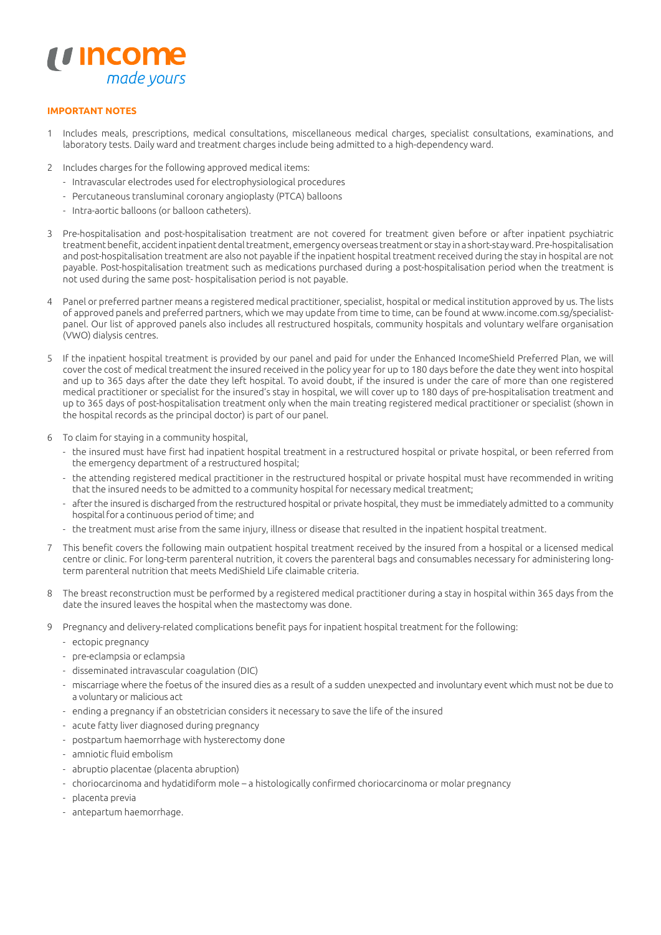

## **IMPORTANT NOTES**

- 1 Includes meals, prescriptions, medical consultations, miscellaneous medical charges, specialist consultations, examinations, and laboratory tests. Daily ward and treatment charges include being admitted to a high-dependency ward.
- 2 Includes charges for the following approved medical items:
	- Intravascular electrodes used for electrophysiological procedures
	- Percutaneous transluminal coronary angioplasty (PTCA) balloons
	- Intra-aortic balloons (or balloon catheters).
- 3 Pre-hospitalisation and post-hospitalisation treatment are not covered for treatment given before or after inpatient psychiatric treatment benefit, accident inpatient dental treatment, emergency overseas treatment or stay in a short-stay ward. Pre-hospitalisation and post-hospitalisation treatment are also not payable if the inpatient hospital treatment received during the stay in hospital are not payable. Post-hospitalisation treatment such as medications purchased during a post-hospitalisation period when the treatment is not used during the same post- hospitalisation period is not payable.
- 4 Panel or preferred partner means a registered medical practitioner, specialist, hospital or medical institution approved by us. The lists of approved panels and preferred partners, which we may update from time to time, can be found at [www.income.com.sg/](http://www.income.com.sg/)specialistpanel. Our list of approved panels also includes all restructured hospitals, community hospitals and voluntary welfare organisation (VWO) dialysis centres.
- 5 If the inpatient hospital treatment is provided by our panel and paid for under the Enhanced IncomeShield Preferred Plan, we will cover the cost of medical treatment the insured received in the policy year for up to 180 days before the date they went into hospital and up to 365 days after the date they left hospital. To avoid doubt, if the insured is under the care of more than one registered medical practitioner or specialist for the insured's stay in hospital, we will cover up to 180 days of pre-hospitalisation treatment and up to 365 days of post-hospitalisation treatment only when the main treating registered medical practitioner or specialist (shown in the hospital records as the principal doctor) is part of our panel.
- 6 To claim for staying in a community hospital,
	- the insured must have first had inpatient hospital treatment in a restructured hospital or private hospital, or been referred from the emergency department of a restructured hospital;
	- the attending registered medical practitioner in the restructured hospital or private hospital must have recommended in writing that the insured needs to be admitted to a community hospital for necessary medical treatment;
	- after the insured is discharged from the restructured hospital or private hospital, they must be immediately admitted to a community hospital for a continuous period of time; and
	- the treatment must arise from the same injury, illness or disease that resulted in the inpatient hospital treatment.
- 7 This benefit covers the following main outpatient hospital treatment received by the insured from a hospital or a licensed medical centre or clinic. For long-term parenteral nutrition, it covers the parenteral bags and consumables necessary for administering longterm parenteral nutrition that meets MediShield Life claimable criteria.
- 8 The breast reconstruction must be performed by a registered medical practitioner during a stay in hospital within 365 days from the date the insured leaves the hospital when the mastectomy was done.
- 9 Pregnancy and delivery-related complications benefit pays for inpatient hospital treatment for the following:
	- ectopic pregnancy
	- pre-eclampsia or eclampsia
	- disseminated intravascular coagulation (DIC)
	- miscarriage where the foetus of the insured dies as a result of a sudden unexpected and involuntary event which must not be due to a voluntary or malicious act
	- ending a pregnancy if an obstetrician considers it necessary to save the life of the insured
	- acute fatty liver diagnosed during pregnancy
	- postpartum haemorrhage with hysterectomy done
	- amniotic fluid embolism
	- abruptio placentae (placenta abruption)
	- choriocarcinoma and hydatidiform mole a histologically confirmed choriocarcinoma or molar pregnancy
	- placenta previa
	- antepartum haemorrhage.